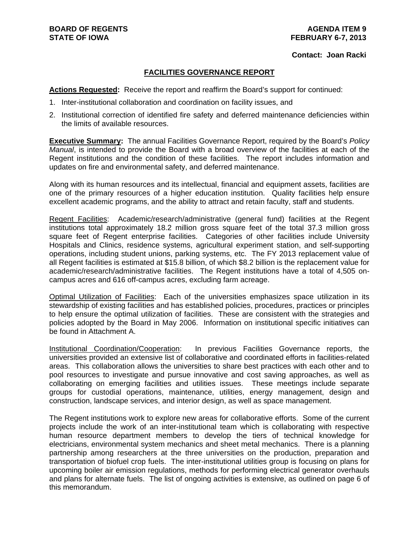#### **Contact: Joan Racki**

#### **FACILITIES GOVERNANCE REPORT**

**Actions Requested:** Receive the report and reaffirm the Board's support for continued:

- 1. Inter-institutional collaboration and coordination on facility issues, and
- 2. Institutional correction of identified fire safety and deferred maintenance deficiencies within the limits of available resources.

**Executive Summary:** The annual Facilities Governance Report, required by the Board's *Policy Manual*, is intended to provide the Board with a broad overview of the facilities at each of the Regent institutions and the condition of these facilities. The report includes information and updates on fire and environmental safety, and deferred maintenance.

Along with its human resources and its intellectual, financial and equipment assets, facilities are one of the primary resources of a higher education institution. Quality facilities help ensure excellent academic programs, and the ability to attract and retain faculty, staff and students.

Regent Facilities: Academic/research/administrative (general fund) facilities at the Regent institutions total approximately 18.2 million gross square feet of the total 37.3 million gross square feet of Regent enterprise facilities. Categories of other facilities include University Hospitals and Clinics, residence systems, agricultural experiment station, and self-supporting operations, including student unions, parking systems, etc. The FY 2013 replacement value of all Regent facilities is estimated at \$15.8 billion, of which \$8.2 billion is the replacement value for academic/research/administrative facilities. The Regent institutions have a total of 4,505 oncampus acres and 616 off-campus acres, excluding farm acreage.

Optimal Utilization of Facilities: Each of the universities emphasizes space utilization in its stewardship of existing facilities and has established policies, procedures, practices or principles to help ensure the optimal utilization of facilities. These are consistent with the strategies and policies adopted by the Board in May 2006. Information on institutional specific initiatives can be found in Attachment A.

Institutional Coordination/Cooperation: In previous Facilities Governance reports, the universities provided an extensive list of collaborative and coordinated efforts in facilities-related areas. This collaboration allows the universities to share best practices with each other and to pool resources to investigate and pursue innovative and cost saving approaches, as well as collaborating on emerging facilities and utilities issues. These meetings include separate groups for custodial operations, maintenance, utilities, energy management, design and construction, landscape services, and interior design, as well as space management.

The Regent institutions work to explore new areas for collaborative efforts. Some of the current projects include the work of an inter-institutional team which is collaborating with respective human resource department members to develop the tiers of technical knowledge for electricians, environmental system mechanics and sheet metal mechanics. There is a planning partnership among researchers at the three universities on the production, preparation and transportation of biofuel crop fuels. The inter-institutional utilities group is focusing on plans for upcoming boiler air emission regulations, methods for performing electrical generator overhauls and plans for alternate fuels. The list of ongoing activities is extensive, as outlined on page 6 of this memorandum.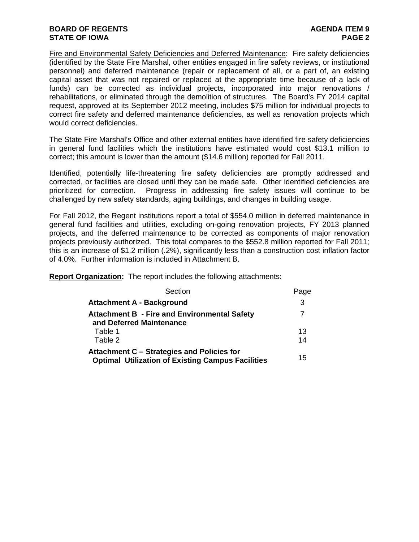#### **BOARD OF REGENTS AGENTS** AGENDA ITEM 9 **STATE OF IOWA** PAGE 2

Fire and Environmental Safety Deficiencies and Deferred Maintenance: Fire safety deficiencies (identified by the State Fire Marshal, other entities engaged in fire safety reviews, or institutional personnel) and deferred maintenance (repair or replacement of all, or a part of, an existing capital asset that was not repaired or replaced at the appropriate time because of a lack of funds) can be corrected as individual projects, incorporated into major renovations / rehabilitations, or eliminated through the demolition of structures. The Board's FY 2014 capital request, approved at its September 2012 meeting, includes \$75 million for individual projects to correct fire safety and deferred maintenance deficiencies, as well as renovation projects which would correct deficiencies.

The State Fire Marshal's Office and other external entities have identified fire safety deficiencies in general fund facilities which the institutions have estimated would cost \$13.1 million to correct; this amount is lower than the amount (\$14.6 million) reported for Fall 2011.

Identified, potentially life-threatening fire safety deficiencies are promptly addressed and corrected, or facilities are closed until they can be made safe. Other identified deficiencies are prioritized for correction. Progress in addressing fire safety issues will continue to be challenged by new safety standards, aging buildings, and changes in building usage.

For Fall 2012, the Regent institutions report a total of \$554.0 million in deferred maintenance in general fund facilities and utilities, excluding on-going renovation projects, FY 2013 planned projects, and the deferred maintenance to be corrected as components of major renovation projects previously authorized. This total compares to the \$552.8 million reported for Fall 2011; this is an increase of \$1.2 million (.2%), significantly less than a construction cost inflation factor of 4.0%. Further information is included in Attachment B.

**Report Organization:** The report includes the following attachments:

| Section                                                                                                | Page |
|--------------------------------------------------------------------------------------------------------|------|
| <b>Attachment A - Background</b>                                                                       | 3    |
| <b>Attachment B - Fire and Environmental Safety</b><br>and Deferred Maintenance                        | 7    |
| Table 1                                                                                                | 13   |
| Table 2                                                                                                | 14   |
| Attachment C - Strategies and Policies for<br><b>Optimal Utilization of Existing Campus Facilities</b> | 15   |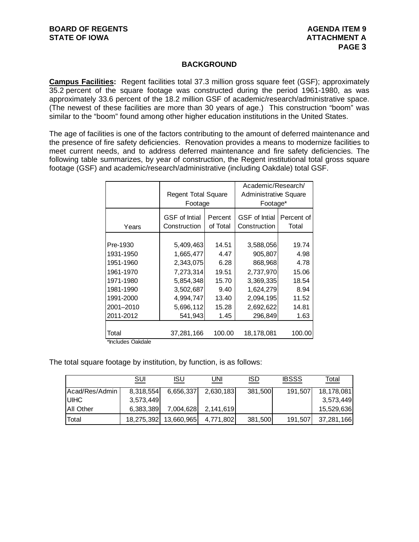#### **BACKGROUND**

**Campus Facilities:** Regent facilities total 37.3 million gross square feet (GSF); approximately 35.2 percent of the square footage was constructed during the period 1961-1980, as was approximately 33.6 percent of the 18.2 million GSF of academic/research/administrative space. (The newest of these facilities are more than 30 years of age.) This construction "boom" was similar to the "boom" found among other higher education institutions in the United States.

The age of facilities is one of the factors contributing to the amount of deferred maintenance and the presence of fire safety deficiencies. Renovation provides a means to modernize facilities to meet current needs, and to address deferred maintenance and fire safety deficiencies. The following table summarizes, by year of construction, the Regent institutional total gross square footage (GSF) and academic/research/administrative (including Oakdale) total GSF.

|           | <b>Regent Total Square</b><br>Footage |          | Academic/Research/<br><b>Administrative Square</b><br>Footage* |            |  |  |  |
|-----------|---------------------------------------|----------|----------------------------------------------------------------|------------|--|--|--|
| Years     | <b>GSF</b> of Intial                  | Percent  | <b>GSF</b> of Intial                                           | Percent of |  |  |  |
|           | Construction                          | of Total | Construction                                                   | Total      |  |  |  |
| Pre-1930  | 5,409,463                             | 14.51    | 3,588,056                                                      | 19.74      |  |  |  |
| 1931-1950 | 1,665,477                             | 4.47     | 905,807                                                        | 4.98       |  |  |  |
| 1951-1960 | 2,343,075                             | 6.28     | 868,968                                                        | 4.78       |  |  |  |
| 1961-1970 | 7,273,314                             | 19.51    | 2,737,970                                                      | 15.06      |  |  |  |
| 1971-1980 | 5,854,348                             | 15.70    | 3,369,335                                                      | 18.54      |  |  |  |
| 1981-1990 | 3,502,687                             | 9.40     | 1,624,279                                                      | 8.94       |  |  |  |
| 1991-2000 | 4,994,747                             | 13.40    | 2,094,195                                                      | 11.52      |  |  |  |
| 2001-2010 | 5,696,112                             | 15.28    | 2,692,622                                                      | 14.81      |  |  |  |
| 2011-2012 | 541,943                               | 1.45     | 296,849                                                        | 1.63       |  |  |  |
| Total     | 37,281,166                            | 100.00   | 18,178,081                                                     | 100.00     |  |  |  |

\*Includes Oakdale

The total square footage by institution, by function, is as follows:

|                   | SUI        | <b>ISU</b> | UNI       | ISD     | <b>IBSSS</b> | Total       |
|-------------------|------------|------------|-----------|---------|--------------|-------------|
| Acad/Res/Admin    | 8,318,554  | 6,656,337  | 2,630,183 | 381,500 | 191,507      | 18,178,081  |
| <b>IUIHC</b>      | 3,573,449  |            |           |         |              | 3,573,449   |
| <b>JAII Other</b> | 6,383,389  | 7,004,628  | 2,141,619 |         |              | 15,529,6361 |
| <b>Total</b>      | 18,275,392 | 13,660,965 | 4,771,802 | 381,500 | 191,507      | 37,281,166  |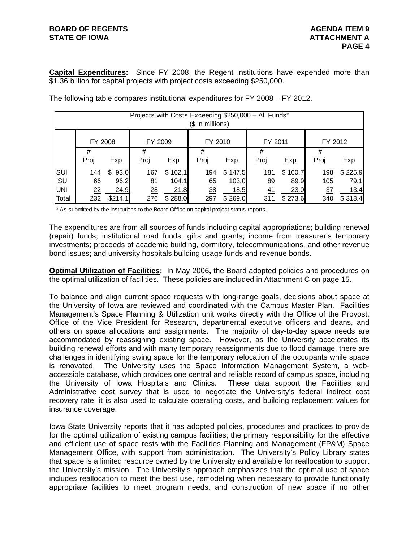### **BOARD OF REGENTS AGENTS** AGENDA ITEM 9 **STATE OF IOWA ATTACHMENT A**

**Capital Expenditures:** Since FY 2008, the Regent institutions have expended more than \$1.36 billion for capital projects with project costs exceeding \$250,000.

|            |         |            | Projects with Costs Exceeding \$250,000 - All Funds* |         | (\$ in millions) |         |         |         |         |         |
|------------|---------|------------|------------------------------------------------------|---------|------------------|---------|---------|---------|---------|---------|
|            | FY 2008 |            | FY 2009                                              |         | FY 2010          |         | FY 2011 |         | FY 2012 |         |
|            | #       |            | #                                                    |         | #                |         | #       |         | #       |         |
|            | Proj    | Exp        | Proj                                                 | Exp     | Proj             | Exp     | Proj    | Exp     | Proj    | Exp     |
| SUI        | 144     | 93.0<br>\$ | 167                                                  | \$162.1 | 194              | \$147.5 | 181     | \$160.7 | 198     | \$225.9 |
| <b>ISU</b> | 66      | 96.2       | 81                                                   | 104.1   | 65               | 103.0   | 89      | 89.9    | 105     | 79.1    |
| <b>UNI</b> | 22      | 24.9       | 28                                                   | 21.8    | 38               | 18.5    | 41      | 23.0    | 37      | 13.4    |
| Total      | 232     | \$214.1    | 276                                                  | \$288.0 | 297              | \$269.0 | 311     | \$273.6 | 340     | \$318.4 |

The following table compares institutional expenditures for FY 2008 – FY 2012.

\* As submitted by the institutions to the Board Office on capital project status reports.

The expenditures are from all sources of funds including capital appropriations; building renewal (repair) funds; institutional road funds; gifts and grants; income from treasurer's temporary investments; proceeds of academic building, dormitory, telecommunications, and other revenue bond issues; and university hospitals building usage funds and revenue bonds.

**Optimal Utilization of Facilities:** In May 2006**,** the Board adopted policies and procedures on the optimal utilization of facilities. These policies are included in Attachment C on page 15.

To balance and align current space requests with long-range goals, decisions about space at the University of Iowa are reviewed and coordinated with the Campus Master Plan. Facilities Management's Space Planning & Utilization unit works directly with the Office of the Provost, Office of the Vice President for Research, departmental executive officers and deans, and others on space allocations and assignments. The majority of day-to-day space needs are accommodated by reassigning existing space. However, as the University accelerates its building renewal efforts and with many temporary reassignments due to flood damage, there are challenges in identifying swing space for the temporary relocation of the occupants while space is renovated. The University uses the Space Information Management System, a webaccessible database, which provides one central and reliable record of campus space, including the University of Iowa Hospitals and Clinics. These data support the Facilities and Administrative cost survey that is used to negotiate the University's federal indirect cost recovery rate; it is also used to calculate operating costs, and building replacement values for insurance coverage.

Iowa State University reports that it has adopted policies, procedures and practices to provide for the optimal utilization of existing campus facilities; the primary responsibility for the effective and efficient use of space rests with the Facilities Planning and Management (FP&M) Space Management Office, with support from administration. The University's Policy Library states that space is a limited resource owned by the University and available for reallocation to support the University's mission. The University's approach emphasizes that the optimal use of space includes reallocation to meet the best use, remodeling when necessary to provide functionally appropriate facilities to meet program needs, and construction of new space if no other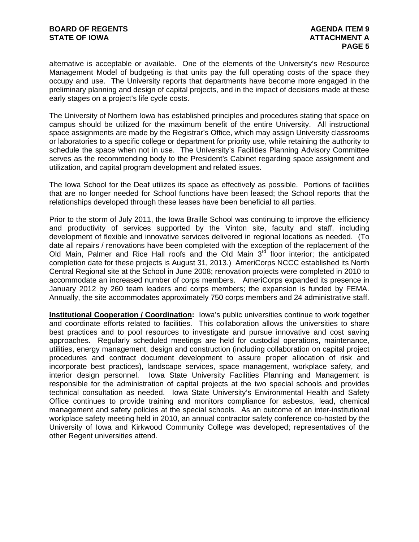alternative is acceptable or available. One of the elements of the University's new Resource Management Model of budgeting is that units pay the full operating costs of the space they occupy and use. The University reports that departments have become more engaged in the preliminary planning and design of capital projects, and in the impact of decisions made at these early stages on a project's life cycle costs.

The University of Northern Iowa has established principles and procedures stating that space on campus should be utilized for the maximum benefit of the entire University. All instructional space assignments are made by the Registrar's Office, which may assign University classrooms or laboratories to a specific college or department for priority use, while retaining the authority to schedule the space when not in use. The University's Facilities Planning Advisory Committee serves as the recommending body to the President's Cabinet regarding space assignment and utilization, and capital program development and related issues.

The Iowa School for the Deaf utilizes its space as effectively as possible. Portions of facilities that are no longer needed for School functions have been leased; the School reports that the relationships developed through these leases have been beneficial to all parties.

Prior to the storm of July 2011, the Iowa Braille School was continuing to improve the efficiency and productivity of services supported by the Vinton site, faculty and staff, including development of flexible and innovative services delivered in regional locations as needed. (To date all repairs / renovations have been completed with the exception of the replacement of the Old Main, Palmer and Rice Hall roofs and the Old Main  $3<sup>rd</sup>$  floor interior; the anticipated completion date for these projects is August 31, 2013.) AmeriCorps NCCC established its North Central Regional site at the School in June 2008; renovation projects were completed in 2010 to accommodate an increased number of corps members. AmeriCorps expanded its presence in January 2012 by 260 team leaders and corps members; the expansion is funded by FEMA. Annually, the site accommodates approximately 750 corps members and 24 administrative staff.

**Institutional Cooperation / Coordination:** lowa's public universities continue to work together and coordinate efforts related to facilities. This collaboration allows the universities to share best practices and to pool resources to investigate and pursue innovative and cost saving approaches. Regularly scheduled meetings are held for custodial operations, maintenance, utilities, energy management, design and construction (including collaboration on capital project procedures and contract document development to assure proper allocation of risk and incorporate best practices), landscape services, space management, workplace safety, and interior design personnel. Iowa State University Facilities Planning and Management is responsible for the administration of capital projects at the two special schools and provides technical consultation as needed. Iowa State University's Environmental Health and Safety Office continues to provide training and monitors compliance for asbestos, lead, chemical management and safety policies at the special schools. As an outcome of an inter-institutional workplace safety meeting held in 2010, an annual contractor safety conference co-hosted by the University of Iowa and Kirkwood Community College was developed; representatives of the other Regent universities attend.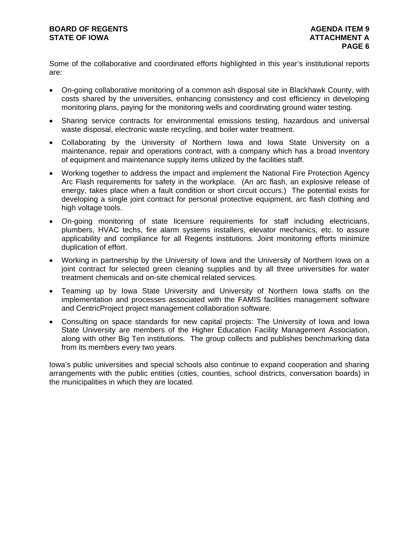Some of the collaborative and coordinated efforts highlighted in this year's institutional reports are:

- On-going collaborative monitoring of a common ash disposal site in Blackhawk County, with costs shared by the universities, enhancing consistency and cost efficiency in developing monitoring plans, paying for the monitoring wells and coordinating ground water testing.
- Sharing service contracts for environmental emissions testing, hazardous and universal waste disposal, electronic waste recycling, and boiler water treatment.
- Collaborating by the University of Northern Iowa and Iowa State University on a maintenance, repair and operations contract, with a company which has a broad inventory of equipment and maintenance supply items utilized by the facilities staff.
- Working together to address the impact and implement the National Fire Protection Agency Arc Flash requirements for safety in the workplace. (An arc flash, an explosive release of energy, takes place when a fault condition or short circuit occurs.) The potential exists for developing a single joint contract for personal protective equipment, arc flash clothing and high voltage tools.
- On-going monitoring of state licensure requirements for staff including electricians, plumbers, HVAC techs, fire alarm systems installers, elevator mechanics, etc. to assure applicability and compliance for all Regents institutions. Joint monitoring efforts minimize duplication of effort.
- Working in partnership by the University of Iowa and the University of Northern Iowa on a joint contract for selected green cleaning supplies and by all three universities for water treatment chemicals and on-site chemical related services.
- Teaming up by Iowa State University and University of Northern Iowa staffs on the implementation and processes associated with the FAMIS facilities management software and CentricProject project management collaboration software.
- Consulting on space standards for new capital projects: The University of Iowa and Iowa State University are members of the Higher Education Facility Management Association, along with other Big Ten institutions. The group collects and publishes benchmarking data from its members every two years.

Iowa's public universities and special schools also continue to expand cooperation and sharing arrangements with the public entities (cities, counties, school districts, conversation boards) in the municipalities in which they are located.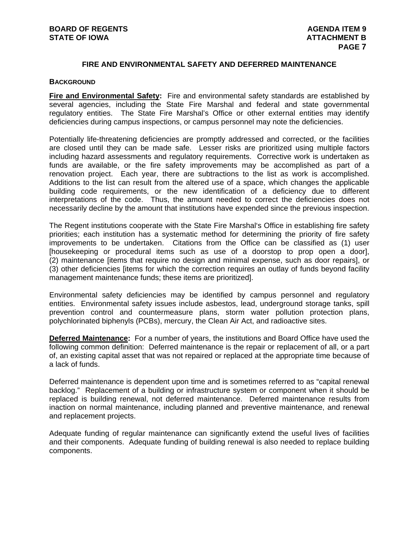### **FIRE AND ENVIRONMENTAL SAFETY AND DEFERRED MAINTENANCE**

#### **BACKGROUND**

**Fire and Environmental Safety:** Fire and environmental safety standards are established by several agencies, including the State Fire Marshal and federal and state governmental regulatory entities. The State Fire Marshal's Office or other external entities may identify deficiencies during campus inspections, or campus personnel may note the deficiencies.

Potentially life-threatening deficiencies are promptly addressed and corrected, or the facilities are closed until they can be made safe. Lesser risks are prioritized using multiple factors including hazard assessments and regulatory requirements. Corrective work is undertaken as funds are available, or the fire safety improvements may be accomplished as part of a renovation project. Each year, there are subtractions to the list as work is accomplished. Additions to the list can result from the altered use of a space, which changes the applicable building code requirements, or the new identification of a deficiency due to different interpretations of the code. Thus, the amount needed to correct the deficiencies does not necessarily decline by the amount that institutions have expended since the previous inspection.

The Regent institutions cooperate with the State Fire Marshal's Office in establishing fire safety priorities; each institution has a systematic method for determining the priority of fire safety improvements to be undertaken. Citations from the Office can be classified as (1) user [housekeeping or procedural items such as use of a doorstop to prop open a door], (2) maintenance [items that require no design and minimal expense, such as door repairs], or (3) other deficiencies [items for which the correction requires an outlay of funds beyond facility management maintenance funds; these items are prioritized].

Environmental safety deficiencies may be identified by campus personnel and regulatory entities. Environmental safety issues include asbestos, lead, underground storage tanks, spill prevention control and countermeasure plans, storm water pollution protection plans, polychlorinated biphenyls (PCBs), mercury, the Clean Air Act, and radioactive sites.

**Deferred Maintenance:** For a number of years, the institutions and Board Office have used the following common definition: Deferred maintenance is the repair or replacement of all, or a part of, an existing capital asset that was not repaired or replaced at the appropriate time because of a lack of funds.

Deferred maintenance is dependent upon time and is sometimes referred to as "capital renewal backlog." Replacement of a building or infrastructure system or component when it should be replaced is building renewal, not deferred maintenance. Deferred maintenance results from inaction on normal maintenance, including planned and preventive maintenance, and renewal and replacement projects.

Adequate funding of regular maintenance can significantly extend the useful lives of facilities and their components. Adequate funding of building renewal is also needed to replace building components.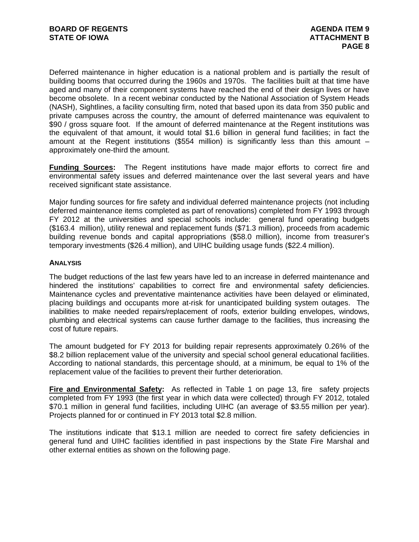Deferred maintenance in higher education is a national problem and is partially the result of building booms that occurred during the 1960s and 1970s. The facilities built at that time have aged and many of their component systems have reached the end of their design lives or have become obsolete. In a recent webinar conducted by the National Association of System Heads (NASH), Sightlines, a facility consulting firm, noted that based upon its data from 350 public and private campuses across the country, the amount of deferred maintenance was equivalent to \$90 / gross square foot. If the amount of deferred maintenance at the Regent institutions was the equivalent of that amount, it would total \$1.6 billion in general fund facilities; in fact the amount at the Regent institutions (\$554 million) is significantly less than this amount  $$ approximately one-third the amount.

**Funding Sources:** The Regent institutions have made major efforts to correct fire and environmental safety issues and deferred maintenance over the last several years and have received significant state assistance.

Major funding sources for fire safety and individual deferred maintenance projects (not including deferred maintenance items completed as part of renovations) completed from FY 1993 through FY 2012 at the universities and special schools include: general fund operating budgets (\$163.4 million), utility renewal and replacement funds (\$71.3 million), proceeds from academic building revenue bonds and capital appropriations (\$58.0 million), income from treasurer's temporary investments (\$26.4 million), and UIHC building usage funds (\$22.4 million).

#### **ANALYSIS**

The budget reductions of the last few years have led to an increase in deferred maintenance and hindered the institutions' capabilities to correct fire and environmental safety deficiencies. Maintenance cycles and preventative maintenance activities have been delayed or eliminated, placing buildings and occupants more at-risk for unanticipated building system outages. The inabilities to make needed repairs/replacement of roofs, exterior building envelopes, windows, plumbing and electrical systems can cause further damage to the facilities, thus increasing the cost of future repairs.

The amount budgeted for FY 2013 for building repair represents approximately 0.26% of the \$8.2 billion replacement value of the university and special school general educational facilities. According to national standards, this percentage should, at a minimum, be equal to 1% of the replacement value of the facilities to prevent their further deterioration.

**Fire and Environmental Safety:** As reflected in Table 1 on page 13, fire safety projects completed from FY 1993 (the first year in which data were collected) through FY 2012, totaled \$70.1 million in general fund facilities, including UIHC (an average of \$3.55 million per year). Projects planned for or continued in FY 2013 total \$2.8 million.

The institutions indicate that \$13.1 million are needed to correct fire safety deficiencies in general fund and UIHC facilities identified in past inspections by the State Fire Marshal and other external entities as shown on the following page.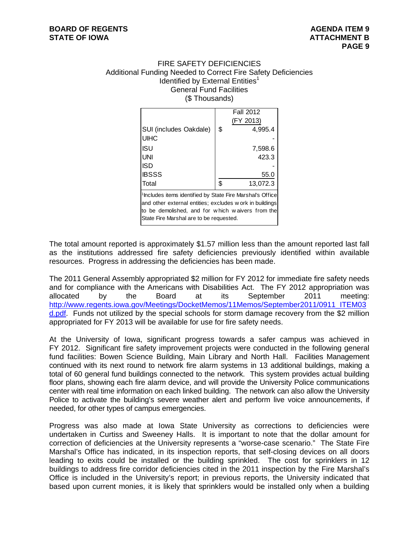#### FIRE SAFETY DEFICIENCIES Additional Funding Needed to Correct Fire Safety Deficiencies Identified by External Entities $1$ General Fund Facilities (\$ Thousands)

|                                                                       | <b>Fall 2012</b> |
|-----------------------------------------------------------------------|------------------|
|                                                                       | (FY 2013)        |
| SUI (includes Oakdale)                                                | \$<br>4,995.4    |
| <b>UIHC</b>                                                           |                  |
| ISU                                                                   | 7,598.6          |
| <b>UNI</b>                                                            | 423.3            |
| ISD                                                                   |                  |
| <b>IBSSS</b>                                                          | 55.0             |
| Total                                                                 | \$<br>13,072.3   |
| <sup>1</sup> Includes items identified by State Fire Marshal's Office |                  |
| and other external entities; excludes w ork in buildings              |                  |
| to be demolished, and for which waivers from the                      |                  |
| State Fire Marshal are to be requested.                               |                  |

The total amount reported is approximately \$1.57 million less than the amount reported last fall as the institutions addressed fire safety deficiencies previously identified within available resources. Progress in addressing the deficiencies has been made.

The 2011 General Assembly appropriated \$2 million for FY 2012 for immediate fire safety needs and for compliance with the Americans with Disabilities Act. The FY 2012 appropriation was allocated by the Board at its September 2011 meeting: http://www.regents.iowa.gov/Meetings/DocketMemos/11Memos/September2011/0911\_ITEM03 d.pdf. Funds not utilized by the special schools for storm damage recovery from the \$2 million appropriated for FY 2013 will be available for use for fire safety needs.

At the University of Iowa, significant progress towards a safer campus was achieved in FY 2012. Significant fire safety improvement projects were conducted in the following general fund facilities: Bowen Science Building, Main Library and North Hall. Facilities Management continued with its next round to network fire alarm systems in 13 additional buildings, making a total of 60 general fund buildings connected to the network. This system provides actual building floor plans, showing each fire alarm device, and will provide the University Police communications center with real time information on each linked building. The network can also allow the University Police to activate the building's severe weather alert and perform live voice announcements, if needed, for other types of campus emergencies.

Progress was also made at Iowa State University as corrections to deficiencies were undertaken in Curtiss and Sweeney Halls. It is important to note that the dollar amount for correction of deficiencies at the University represents a "worse-case scenario." The State Fire Marshal's Office has indicated, in its inspection reports, that self-closing devices on all doors leading to exits could be installed or the building sprinkled. The cost for sprinklers in 12 buildings to address fire corridor deficiencies cited in the 2011 inspection by the Fire Marshal's Office is included in the University's report; in previous reports, the University indicated that based upon current monies, it is likely that sprinklers would be installed only when a building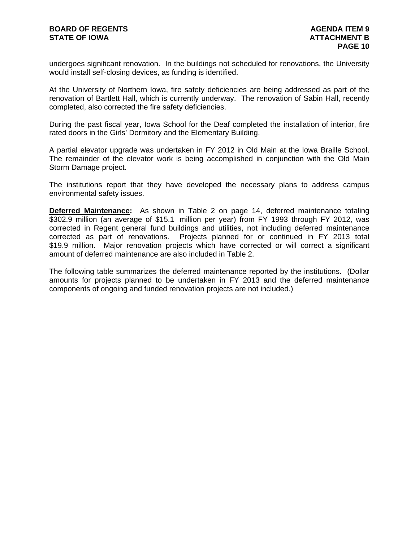undergoes significant renovation. In the buildings not scheduled for renovations, the University would install self-closing devices, as funding is identified.

At the University of Northern Iowa, fire safety deficiencies are being addressed as part of the renovation of Bartlett Hall, which is currently underway. The renovation of Sabin Hall, recently completed, also corrected the fire safety deficiencies.

During the past fiscal year, Iowa School for the Deaf completed the installation of interior, fire rated doors in the Girls' Dormitory and the Elementary Building.

A partial elevator upgrade was undertaken in FY 2012 in Old Main at the Iowa Braille School. The remainder of the elevator work is being accomplished in conjunction with the Old Main Storm Damage project.

The institutions report that they have developed the necessary plans to address campus environmental safety issues.

**Deferred Maintenance:** As shown in Table 2 on page 14, deferred maintenance totaling \$302.9 million (an average of \$15.1 million per year) from FY 1993 through FY 2012, was corrected in Regent general fund buildings and utilities, not including deferred maintenance corrected as part of renovations. Projects planned for or continued in FY 2013 total \$19.9 million. Major renovation projects which have corrected or will correct a significant amount of deferred maintenance are also included in Table 2.

The following table summarizes the deferred maintenance reported by the institutions. (Dollar amounts for projects planned to be undertaken in FY 2013 and the deferred maintenance components of ongoing and funded renovation projects are not included.)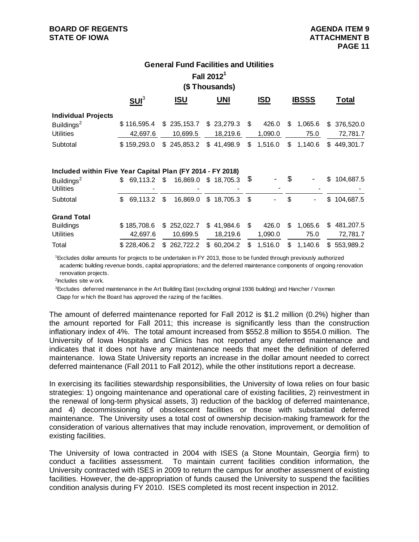## **Fall 20121 (\$ Thousands) General Fund Facilities and Utilities**

|                                                  | SUI <sup>3</sup> | ISU                          | UNI      | <b>ISD</b> | <b>IBSSS</b> | Total                                                       |
|--------------------------------------------------|------------------|------------------------------|----------|------------|--------------|-------------------------------------------------------------|
| <b>Individual Projects</b>                       |                  |                              |          |            |              |                                                             |
| Buildings <sup>2</sup>                           | \$116,595.4      | $$235,153.7$ $$23,279.3$ $$$ |          | 426.0      | S<br>1,065.6 | \$376,520.0                                                 |
| <b>Utilities</b>                                 | 42.697.6         | 10.699.5                     | 18.219.6 | 1,090.0    | 75.0         | 72,781.7                                                    |
| Subtotal                                         | \$159.293.0      |                              |          |            |              | $$245,853.2$ $$41,498.9$ $$1,516.0$ $$1,140.6$ $$449,301.7$ |
|                                                  |                  |                              |          |            |              |                                                             |
| Included within Five Vess Cenitel Dlan (EV 0044) |                  |                              | EV 2010) |            |              |                                                             |

| Included within Five Year Capital Plan (FY 2014 - FY 2018) |     |             |      |                                   |                          |      |         |    |         |             |
|------------------------------------------------------------|-----|-------------|------|-----------------------------------|--------------------------|------|---------|----|---------|-------------|
| Buildings <sup>2</sup>                                     |     |             |      | $$69,113.2$ \$16,869.0 \$18,705.3 |                          | - \$ | ۰       | \$ |         | \$104,687.5 |
| <b>Utilities</b>                                           |     |             |      |                                   | $\overline{\phantom{0}}$ |      | -       |    |         |             |
| Subtotal                                                   | \$. | 69.113.2    | - \$ |                                   | 16,869.0 \$ 18,705.3 \$  |      |         | S  |         | \$104,687.5 |
| <b>Grand Total</b>                                         |     |             |      |                                   |                          |      |         |    |         |             |
| <b>Buildings</b>                                           |     | \$185,708.6 |      | \$252,022.7                       | \$41,984.6               | -S   | 426.0   | S  | 1.065.6 | \$481,207.5 |
| <b>Utilities</b>                                           |     | 42.697.6    |      | 10,699.5                          | 18.219.6                 |      | 1,090.0 |    | 75.0    | 72.781.7    |
| Total                                                      |     | \$228,406.2 |      | $$262,722.2$ $$60,204.2$          |                          | \$   | 1,516.0 | \$ | 1,140.6 | \$553,989.2 |

 1Excludes dollar amounts for projects to be undertaken in FY 2013, those to be funded through previously authorized academic building revenue bonds, capital appropriations; and the deferred maintenance components of ongoing renovation renovation projects.

2Includes site w ork.

 Clapp for w hich the Board has approved the razing of the facilities. <sup>3</sup>Excludes deferred maintenance in the Art Building East (excluding original 1936 building) and Hancher / Voxman

The amount of deferred maintenance reported for Fall 2012 is \$1.2 million (0.2%) higher than the amount reported for Fall 2011; this increase is significantly less than the construction inflationary index of 4%. The total amount increased from \$552.8 million to \$554.0 million. The University of Iowa Hospitals and Clinics has not reported any deferred maintenance and indicates that it does not have any maintenance needs that meet the definition of deferred maintenance. Iowa State University reports an increase in the dollar amount needed to correct deferred maintenance (Fall 2011 to Fall 2012), while the other institutions report a decrease.

In exercising its facilities stewardship responsibilities, the University of Iowa relies on four basic strategies: 1) ongoing maintenance and operational care of existing facilities, 2) reinvestment in the renewal of long-term physical assets, 3) reduction of the backlog of deferred maintenance, and 4) decommissioning of obsolescent facilities or those with substantial deferred maintenance. The University uses a total cost of ownership decision-making framework for the consideration of various alternatives that may include renovation, improvement, or demolition of existing facilities.

The University of Iowa contracted in 2004 with ISES (a Stone Mountain, Georgia firm) to conduct a facilities assessment. To maintain current facilities condition information, the University contracted with ISES in 2009 to return the campus for another assessment of existing facilities. However, the de-appropriation of funds caused the University to suspend the facilities condition analysis during FY 2010. ISES completed its most recent inspection in 2012.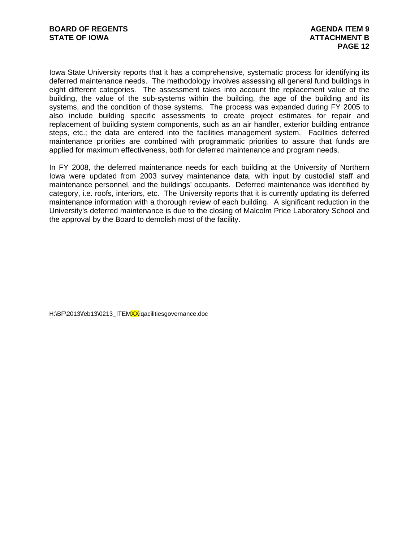Iowa State University reports that it has a comprehensive, systematic process for identifying its deferred maintenance needs. The methodology involves assessing all general fund buildings in eight different categories. The assessment takes into account the replacement value of the building, the value of the sub-systems within the building, the age of the building and its systems, and the condition of those systems. The process was expanded during FY 2005 to also include building specific assessments to create project estimates for repair and replacement of building system components, such as an air handler, exterior building entrance steps, etc.; the data are entered into the facilities management system. Facilities deferred maintenance priorities are combined with programmatic priorities to assure that funds are applied for maximum effectiveness, both for deferred maintenance and program needs.

In FY 2008, the deferred maintenance needs for each building at the University of Northern Iowa were updated from 2003 survey maintenance data, with input by custodial staff and maintenance personnel, and the buildings' occupants. Deferred maintenance was identified by category, i.e. roofs, interiors, etc. The University reports that it is currently updating its deferred maintenance information with a thorough review of each building. A significant reduction in the University's deferred maintenance is due to the closing of Malcolm Price Laboratory School and the approval by the Board to demolish most of the facility.

H:\BF\2013\feb13\0213\_ITEMXXiqacilitiesgovernance.doc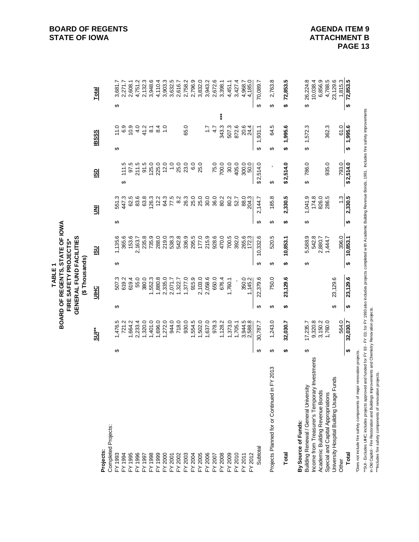| 2,763.8<br>6,856.9<br>4,788.5<br>23,129.6<br>72,853.5<br>2,132.3<br>3,948.6<br>3,632.5<br>2,796.9<br>3,832.0<br>3,943.2<br>2,672.6<br>4,968.7<br>4,185.0<br>72,853.5<br>26,224.8<br>10,038.4<br>1,815.3<br>4,751.2<br>4,110.4<br>3,903.3<br>2,758.2<br>3,427.4<br>70,089.7<br>3,681.7<br>2,271.7<br>2,616.7<br>3,398.1<br>4,451.1<br>2,608.1<br><b>Total</b><br>↔<br>↔<br>↮<br>↔<br>↮<br>↮<br>"SUI- Excludes UIHC, includes projects approved and funded for FY 93 - FY 03; for FY 1993 also includes projects completed with Academic Building Revenue Bonds, 1991. Includes fire safety improvements<br>***<br>1,995.6<br>6000<br>41.2<br>343.3<br>1,995.6<br>1,572.3<br>362.3<br>61.0<br>$\frac{84}{10}$<br>65.0<br>507.3<br>872.6<br>20.4<br>24.4<br>64.5<br>11.0<br>$\overline{8}$<br>$\ddot{ }$ :<br>4.7<br>1,931.1<br><b>BSSS</b><br>↮<br>↮<br>↮<br>↮<br>↮<br>↮<br>\$2,514.0<br>\$2,514.0<br>786.0<br>935.0<br>793.0<br>\$2,514.0<br>97.5<br>211.5<br>91.5<br>125.0<br>225.0<br>12.0<br>25.0<br>23.0<br>6.0<br>25.0<br>75.0<br>700.0<br>30.0<br>405.0<br>111.5<br>1.0<br>300.0<br>$\overline{\text{SD}}$<br>↮<br>↮<br>↮<br>2,330.5<br>2,330.5<br>83.6<br>63.8<br>77.5<br>8.2<br>26.3<br>25.0<br>25.0<br>30.0<br>36.0<br>185.8<br>1,041.9<br>174.8<br>826.0<br>286.5<br>13<br>447.3<br>62.5<br>126.3<br>12.2<br>64.3<br>80.2<br>80.2<br>88.0<br>204.3<br>2,144.7<br>551.3<br>52.7<br>킭<br>↮<br>↮<br>↮<br>↮<br>↮<br>↮<br>542.8<br>735.9<br>542.8<br>336.9<br>295.5<br>177.0<br>215.9<br>928.6<br>470.0<br>700.5<br>392.0<br>265.6<br>10,332.6<br>520.5<br>5,588.9<br>396.0<br>365.6<br>153.6<br>235.8<br>288.0<br>219.0<br>538.3<br>1,444.7<br>10,853.1<br>1,135.6<br>10,853.1<br>2,880.7<br>2,163.7<br>$\overline{\mathbf{S}}$<br>↮<br>↮<br>↮<br>↮<br>↮<br>↮<br>22,379.6<br>750.0<br>23,129.6<br>23,129.6<br>23,129.6<br>6194<br>55.0<br>380.0<br>1,880.8<br>1,377.0<br>915.9<br>2,103.0<br>2,058.6<br>650.0<br>507.3<br>619.2<br>1,552.3<br>2,335.0<br>350.0<br>1,145.2<br>2,071.7<br>676.4<br>1,760.1<br>1,322.7<br><b>UIHC</b><br>↮<br>↮<br>↮<br>↮<br>↮<br>↮<br>564.0<br>32,030.7<br>1,320.0<br>1,401.0<br>1,696.0<br>1,272.0<br>944.0<br>718.0<br>930.0<br>554.5<br>1,502.0<br>1,637.0<br>978.3<br>1,373.0<br>1,243.0<br>9,320.8<br>1,760.0<br>1,476.5<br>721.2<br>1,664.2<br>2,233.4<br>1,128.2<br>3,944.5<br>2,588.8<br>30,787.7<br>32,030.7<br>3,150.2<br>1,705.1<br>17,235.7<br>sur*<br>↮<br>↮<br>↮<br>↮<br>↮<br>↮<br>Does not include fire safety components of major renovation projects.<br><b>Nestments</b><br>Projects Planned for or Continued in FY 2013<br>සි<br>ncome from Treasurer's Temporary In<br>Jniversity Hospital Building Usage Fun<br>Building Renewal / General University<br>Academic Building Revenue Bonds<br>Special and Capital Appropriations<br>By Source of Funds:<br>Completed Projects:<br>Subtotal<br>Projects:<br>Total<br>FY 2006<br>$-Y 2010$<br>$-Y$ 2012<br>FY 1993<br>FY1995<br>$-4.1996$<br>$-4.1998$<br>$-4.1999$<br>FY 2000<br>FY 2003<br>FY 2005<br>$-Y 2008$<br>FY 2009<br>Total<br>$-4.1994$<br>-Y 1997<br>FY 2002<br>FY 2004<br>FY 2007<br>FY 2011<br>FY 2001<br>Other |  |  | <b>GENERAL FUND FACILITIES</b><br><b>FIRE SAFETY PROJECTS*</b><br>(\$Thousands) |  |  |  |  |  |
|-----------------------------------------------------------------------------------------------------------------------------------------------------------------------------------------------------------------------------------------------------------------------------------------------------------------------------------------------------------------------------------------------------------------------------------------------------------------------------------------------------------------------------------------------------------------------------------------------------------------------------------------------------------------------------------------------------------------------------------------------------------------------------------------------------------------------------------------------------------------------------------------------------------------------------------------------------------------------------------------------------------------------------------------------------------------------------------------------------------------------------------------------------------------------------------------------------------------------------------------------------------------------------------------------------------------------------------------------------------------------------------------------------------------------------------------------------------------------------------------------------------------------------------------------------------------------------------------------------------------------------------------------------------------------------------------------------------------------------------------------------------------------------------------------------------------------------------------------------------------------------------------------------------------------------------------------------------------------------------------------------------------------------------------------------------------------------------------------------------------------------------------------------------------------------------------------------------------------------------------------------------------------------------------------------------------------------------------------------------------------------------------------------------------------------------------------------------------------------------------------------------------------------------------------------------------------------------------------------------------------------------------------------------------------------------------------------------------------------------------------------------------------------------------------------------------------------------------------------------------------------------------------------------------------------------------------------------------------------------------------------------------------------------------------------------------------------------------------------------------------------------|--|--|---------------------------------------------------------------------------------|--|--|--|--|--|
|                                                                                                                                                                                                                                                                                                                                                                                                                                                                                                                                                                                                                                                                                                                                                                                                                                                                                                                                                                                                                                                                                                                                                                                                                                                                                                                                                                                                                                                                                                                                                                                                                                                                                                                                                                                                                                                                                                                                                                                                                                                                                                                                                                                                                                                                                                                                                                                                                                                                                                                                                                                                                                                                                                                                                                                                                                                                                                                                                                                                                                                                                                                                   |  |  |                                                                                 |  |  |  |  |  |
|                                                                                                                                                                                                                                                                                                                                                                                                                                                                                                                                                                                                                                                                                                                                                                                                                                                                                                                                                                                                                                                                                                                                                                                                                                                                                                                                                                                                                                                                                                                                                                                                                                                                                                                                                                                                                                                                                                                                                                                                                                                                                                                                                                                                                                                                                                                                                                                                                                                                                                                                                                                                                                                                                                                                                                                                                                                                                                                                                                                                                                                                                                                                   |  |  |                                                                                 |  |  |  |  |  |
|                                                                                                                                                                                                                                                                                                                                                                                                                                                                                                                                                                                                                                                                                                                                                                                                                                                                                                                                                                                                                                                                                                                                                                                                                                                                                                                                                                                                                                                                                                                                                                                                                                                                                                                                                                                                                                                                                                                                                                                                                                                                                                                                                                                                                                                                                                                                                                                                                                                                                                                                                                                                                                                                                                                                                                                                                                                                                                                                                                                                                                                                                                                                   |  |  |                                                                                 |  |  |  |  |  |
|                                                                                                                                                                                                                                                                                                                                                                                                                                                                                                                                                                                                                                                                                                                                                                                                                                                                                                                                                                                                                                                                                                                                                                                                                                                                                                                                                                                                                                                                                                                                                                                                                                                                                                                                                                                                                                                                                                                                                                                                                                                                                                                                                                                                                                                                                                                                                                                                                                                                                                                                                                                                                                                                                                                                                                                                                                                                                                                                                                                                                                                                                                                                   |  |  |                                                                                 |  |  |  |  |  |
|                                                                                                                                                                                                                                                                                                                                                                                                                                                                                                                                                                                                                                                                                                                                                                                                                                                                                                                                                                                                                                                                                                                                                                                                                                                                                                                                                                                                                                                                                                                                                                                                                                                                                                                                                                                                                                                                                                                                                                                                                                                                                                                                                                                                                                                                                                                                                                                                                                                                                                                                                                                                                                                                                                                                                                                                                                                                                                                                                                                                                                                                                                                                   |  |  |                                                                                 |  |  |  |  |  |
|                                                                                                                                                                                                                                                                                                                                                                                                                                                                                                                                                                                                                                                                                                                                                                                                                                                                                                                                                                                                                                                                                                                                                                                                                                                                                                                                                                                                                                                                                                                                                                                                                                                                                                                                                                                                                                                                                                                                                                                                                                                                                                                                                                                                                                                                                                                                                                                                                                                                                                                                                                                                                                                                                                                                                                                                                                                                                                                                                                                                                                                                                                                                   |  |  |                                                                                 |  |  |  |  |  |
|                                                                                                                                                                                                                                                                                                                                                                                                                                                                                                                                                                                                                                                                                                                                                                                                                                                                                                                                                                                                                                                                                                                                                                                                                                                                                                                                                                                                                                                                                                                                                                                                                                                                                                                                                                                                                                                                                                                                                                                                                                                                                                                                                                                                                                                                                                                                                                                                                                                                                                                                                                                                                                                                                                                                                                                                                                                                                                                                                                                                                                                                                                                                   |  |  |                                                                                 |  |  |  |  |  |
|                                                                                                                                                                                                                                                                                                                                                                                                                                                                                                                                                                                                                                                                                                                                                                                                                                                                                                                                                                                                                                                                                                                                                                                                                                                                                                                                                                                                                                                                                                                                                                                                                                                                                                                                                                                                                                                                                                                                                                                                                                                                                                                                                                                                                                                                                                                                                                                                                                                                                                                                                                                                                                                                                                                                                                                                                                                                                                                                                                                                                                                                                                                                   |  |  |                                                                                 |  |  |  |  |  |
|                                                                                                                                                                                                                                                                                                                                                                                                                                                                                                                                                                                                                                                                                                                                                                                                                                                                                                                                                                                                                                                                                                                                                                                                                                                                                                                                                                                                                                                                                                                                                                                                                                                                                                                                                                                                                                                                                                                                                                                                                                                                                                                                                                                                                                                                                                                                                                                                                                                                                                                                                                                                                                                                                                                                                                                                                                                                                                                                                                                                                                                                                                                                   |  |  |                                                                                 |  |  |  |  |  |
|                                                                                                                                                                                                                                                                                                                                                                                                                                                                                                                                                                                                                                                                                                                                                                                                                                                                                                                                                                                                                                                                                                                                                                                                                                                                                                                                                                                                                                                                                                                                                                                                                                                                                                                                                                                                                                                                                                                                                                                                                                                                                                                                                                                                                                                                                                                                                                                                                                                                                                                                                                                                                                                                                                                                                                                                                                                                                                                                                                                                                                                                                                                                   |  |  |                                                                                 |  |  |  |  |  |
|                                                                                                                                                                                                                                                                                                                                                                                                                                                                                                                                                                                                                                                                                                                                                                                                                                                                                                                                                                                                                                                                                                                                                                                                                                                                                                                                                                                                                                                                                                                                                                                                                                                                                                                                                                                                                                                                                                                                                                                                                                                                                                                                                                                                                                                                                                                                                                                                                                                                                                                                                                                                                                                                                                                                                                                                                                                                                                                                                                                                                                                                                                                                   |  |  |                                                                                 |  |  |  |  |  |
|                                                                                                                                                                                                                                                                                                                                                                                                                                                                                                                                                                                                                                                                                                                                                                                                                                                                                                                                                                                                                                                                                                                                                                                                                                                                                                                                                                                                                                                                                                                                                                                                                                                                                                                                                                                                                                                                                                                                                                                                                                                                                                                                                                                                                                                                                                                                                                                                                                                                                                                                                                                                                                                                                                                                                                                                                                                                                                                                                                                                                                                                                                                                   |  |  |                                                                                 |  |  |  |  |  |
|                                                                                                                                                                                                                                                                                                                                                                                                                                                                                                                                                                                                                                                                                                                                                                                                                                                                                                                                                                                                                                                                                                                                                                                                                                                                                                                                                                                                                                                                                                                                                                                                                                                                                                                                                                                                                                                                                                                                                                                                                                                                                                                                                                                                                                                                                                                                                                                                                                                                                                                                                                                                                                                                                                                                                                                                                                                                                                                                                                                                                                                                                                                                   |  |  |                                                                                 |  |  |  |  |  |
|                                                                                                                                                                                                                                                                                                                                                                                                                                                                                                                                                                                                                                                                                                                                                                                                                                                                                                                                                                                                                                                                                                                                                                                                                                                                                                                                                                                                                                                                                                                                                                                                                                                                                                                                                                                                                                                                                                                                                                                                                                                                                                                                                                                                                                                                                                                                                                                                                                                                                                                                                                                                                                                                                                                                                                                                                                                                                                                                                                                                                                                                                                                                   |  |  |                                                                                 |  |  |  |  |  |
|                                                                                                                                                                                                                                                                                                                                                                                                                                                                                                                                                                                                                                                                                                                                                                                                                                                                                                                                                                                                                                                                                                                                                                                                                                                                                                                                                                                                                                                                                                                                                                                                                                                                                                                                                                                                                                                                                                                                                                                                                                                                                                                                                                                                                                                                                                                                                                                                                                                                                                                                                                                                                                                                                                                                                                                                                                                                                                                                                                                                                                                                                                                                   |  |  |                                                                                 |  |  |  |  |  |
|                                                                                                                                                                                                                                                                                                                                                                                                                                                                                                                                                                                                                                                                                                                                                                                                                                                                                                                                                                                                                                                                                                                                                                                                                                                                                                                                                                                                                                                                                                                                                                                                                                                                                                                                                                                                                                                                                                                                                                                                                                                                                                                                                                                                                                                                                                                                                                                                                                                                                                                                                                                                                                                                                                                                                                                                                                                                                                                                                                                                                                                                                                                                   |  |  |                                                                                 |  |  |  |  |  |
|                                                                                                                                                                                                                                                                                                                                                                                                                                                                                                                                                                                                                                                                                                                                                                                                                                                                                                                                                                                                                                                                                                                                                                                                                                                                                                                                                                                                                                                                                                                                                                                                                                                                                                                                                                                                                                                                                                                                                                                                                                                                                                                                                                                                                                                                                                                                                                                                                                                                                                                                                                                                                                                                                                                                                                                                                                                                                                                                                                                                                                                                                                                                   |  |  |                                                                                 |  |  |  |  |  |
|                                                                                                                                                                                                                                                                                                                                                                                                                                                                                                                                                                                                                                                                                                                                                                                                                                                                                                                                                                                                                                                                                                                                                                                                                                                                                                                                                                                                                                                                                                                                                                                                                                                                                                                                                                                                                                                                                                                                                                                                                                                                                                                                                                                                                                                                                                                                                                                                                                                                                                                                                                                                                                                                                                                                                                                                                                                                                                                                                                                                                                                                                                                                   |  |  |                                                                                 |  |  |  |  |  |
|                                                                                                                                                                                                                                                                                                                                                                                                                                                                                                                                                                                                                                                                                                                                                                                                                                                                                                                                                                                                                                                                                                                                                                                                                                                                                                                                                                                                                                                                                                                                                                                                                                                                                                                                                                                                                                                                                                                                                                                                                                                                                                                                                                                                                                                                                                                                                                                                                                                                                                                                                                                                                                                                                                                                                                                                                                                                                                                                                                                                                                                                                                                                   |  |  |                                                                                 |  |  |  |  |  |
|                                                                                                                                                                                                                                                                                                                                                                                                                                                                                                                                                                                                                                                                                                                                                                                                                                                                                                                                                                                                                                                                                                                                                                                                                                                                                                                                                                                                                                                                                                                                                                                                                                                                                                                                                                                                                                                                                                                                                                                                                                                                                                                                                                                                                                                                                                                                                                                                                                                                                                                                                                                                                                                                                                                                                                                                                                                                                                                                                                                                                                                                                                                                   |  |  |                                                                                 |  |  |  |  |  |
|                                                                                                                                                                                                                                                                                                                                                                                                                                                                                                                                                                                                                                                                                                                                                                                                                                                                                                                                                                                                                                                                                                                                                                                                                                                                                                                                                                                                                                                                                                                                                                                                                                                                                                                                                                                                                                                                                                                                                                                                                                                                                                                                                                                                                                                                                                                                                                                                                                                                                                                                                                                                                                                                                                                                                                                                                                                                                                                                                                                                                                                                                                                                   |  |  |                                                                                 |  |  |  |  |  |
|                                                                                                                                                                                                                                                                                                                                                                                                                                                                                                                                                                                                                                                                                                                                                                                                                                                                                                                                                                                                                                                                                                                                                                                                                                                                                                                                                                                                                                                                                                                                                                                                                                                                                                                                                                                                                                                                                                                                                                                                                                                                                                                                                                                                                                                                                                                                                                                                                                                                                                                                                                                                                                                                                                                                                                                                                                                                                                                                                                                                                                                                                                                                   |  |  |                                                                                 |  |  |  |  |  |
|                                                                                                                                                                                                                                                                                                                                                                                                                                                                                                                                                                                                                                                                                                                                                                                                                                                                                                                                                                                                                                                                                                                                                                                                                                                                                                                                                                                                                                                                                                                                                                                                                                                                                                                                                                                                                                                                                                                                                                                                                                                                                                                                                                                                                                                                                                                                                                                                                                                                                                                                                                                                                                                                                                                                                                                                                                                                                                                                                                                                                                                                                                                                   |  |  |                                                                                 |  |  |  |  |  |
|                                                                                                                                                                                                                                                                                                                                                                                                                                                                                                                                                                                                                                                                                                                                                                                                                                                                                                                                                                                                                                                                                                                                                                                                                                                                                                                                                                                                                                                                                                                                                                                                                                                                                                                                                                                                                                                                                                                                                                                                                                                                                                                                                                                                                                                                                                                                                                                                                                                                                                                                                                                                                                                                                                                                                                                                                                                                                                                                                                                                                                                                                                                                   |  |  |                                                                                 |  |  |  |  |  |
|                                                                                                                                                                                                                                                                                                                                                                                                                                                                                                                                                                                                                                                                                                                                                                                                                                                                                                                                                                                                                                                                                                                                                                                                                                                                                                                                                                                                                                                                                                                                                                                                                                                                                                                                                                                                                                                                                                                                                                                                                                                                                                                                                                                                                                                                                                                                                                                                                                                                                                                                                                                                                                                                                                                                                                                                                                                                                                                                                                                                                                                                                                                                   |  |  |                                                                                 |  |  |  |  |  |
|                                                                                                                                                                                                                                                                                                                                                                                                                                                                                                                                                                                                                                                                                                                                                                                                                                                                                                                                                                                                                                                                                                                                                                                                                                                                                                                                                                                                                                                                                                                                                                                                                                                                                                                                                                                                                                                                                                                                                                                                                                                                                                                                                                                                                                                                                                                                                                                                                                                                                                                                                                                                                                                                                                                                                                                                                                                                                                                                                                                                                                                                                                                                   |  |  |                                                                                 |  |  |  |  |  |
|                                                                                                                                                                                                                                                                                                                                                                                                                                                                                                                                                                                                                                                                                                                                                                                                                                                                                                                                                                                                                                                                                                                                                                                                                                                                                                                                                                                                                                                                                                                                                                                                                                                                                                                                                                                                                                                                                                                                                                                                                                                                                                                                                                                                                                                                                                                                                                                                                                                                                                                                                                                                                                                                                                                                                                                                                                                                                                                                                                                                                                                                                                                                   |  |  |                                                                                 |  |  |  |  |  |
|                                                                                                                                                                                                                                                                                                                                                                                                                                                                                                                                                                                                                                                                                                                                                                                                                                                                                                                                                                                                                                                                                                                                                                                                                                                                                                                                                                                                                                                                                                                                                                                                                                                                                                                                                                                                                                                                                                                                                                                                                                                                                                                                                                                                                                                                                                                                                                                                                                                                                                                                                                                                                                                                                                                                                                                                                                                                                                                                                                                                                                                                                                                                   |  |  |                                                                                 |  |  |  |  |  |
|                                                                                                                                                                                                                                                                                                                                                                                                                                                                                                                                                                                                                                                                                                                                                                                                                                                                                                                                                                                                                                                                                                                                                                                                                                                                                                                                                                                                                                                                                                                                                                                                                                                                                                                                                                                                                                                                                                                                                                                                                                                                                                                                                                                                                                                                                                                                                                                                                                                                                                                                                                                                                                                                                                                                                                                                                                                                                                                                                                                                                                                                                                                                   |  |  |                                                                                 |  |  |  |  |  |
|                                                                                                                                                                                                                                                                                                                                                                                                                                                                                                                                                                                                                                                                                                                                                                                                                                                                                                                                                                                                                                                                                                                                                                                                                                                                                                                                                                                                                                                                                                                                                                                                                                                                                                                                                                                                                                                                                                                                                                                                                                                                                                                                                                                                                                                                                                                                                                                                                                                                                                                                                                                                                                                                                                                                                                                                                                                                                                                                                                                                                                                                                                                                   |  |  |                                                                                 |  |  |  |  |  |
|                                                                                                                                                                                                                                                                                                                                                                                                                                                                                                                                                                                                                                                                                                                                                                                                                                                                                                                                                                                                                                                                                                                                                                                                                                                                                                                                                                                                                                                                                                                                                                                                                                                                                                                                                                                                                                                                                                                                                                                                                                                                                                                                                                                                                                                                                                                                                                                                                                                                                                                                                                                                                                                                                                                                                                                                                                                                                                                                                                                                                                                                                                                                   |  |  |                                                                                 |  |  |  |  |  |
|                                                                                                                                                                                                                                                                                                                                                                                                                                                                                                                                                                                                                                                                                                                                                                                                                                                                                                                                                                                                                                                                                                                                                                                                                                                                                                                                                                                                                                                                                                                                                                                                                                                                                                                                                                                                                                                                                                                                                                                                                                                                                                                                                                                                                                                                                                                                                                                                                                                                                                                                                                                                                                                                                                                                                                                                                                                                                                                                                                                                                                                                                                                                   |  |  |                                                                                 |  |  |  |  |  |
|                                                                                                                                                                                                                                                                                                                                                                                                                                                                                                                                                                                                                                                                                                                                                                                                                                                                                                                                                                                                                                                                                                                                                                                                                                                                                                                                                                                                                                                                                                                                                                                                                                                                                                                                                                                                                                                                                                                                                                                                                                                                                                                                                                                                                                                                                                                                                                                                                                                                                                                                                                                                                                                                                                                                                                                                                                                                                                                                                                                                                                                                                                                                   |  |  |                                                                                 |  |  |  |  |  |
|                                                                                                                                                                                                                                                                                                                                                                                                                                                                                                                                                                                                                                                                                                                                                                                                                                                                                                                                                                                                                                                                                                                                                                                                                                                                                                                                                                                                                                                                                                                                                                                                                                                                                                                                                                                                                                                                                                                                                                                                                                                                                                                                                                                                                                                                                                                                                                                                                                                                                                                                                                                                                                                                                                                                                                                                                                                                                                                                                                                                                                                                                                                                   |  |  |                                                                                 |  |  |  |  |  |
|                                                                                                                                                                                                                                                                                                                                                                                                                                                                                                                                                                                                                                                                                                                                                                                                                                                                                                                                                                                                                                                                                                                                                                                                                                                                                                                                                                                                                                                                                                                                                                                                                                                                                                                                                                                                                                                                                                                                                                                                                                                                                                                                                                                                                                                                                                                                                                                                                                                                                                                                                                                                                                                                                                                                                                                                                                                                                                                                                                                                                                                                                                                                   |  |  |                                                                                 |  |  |  |  |  |
|                                                                                                                                                                                                                                                                                                                                                                                                                                                                                                                                                                                                                                                                                                                                                                                                                                                                                                                                                                                                                                                                                                                                                                                                                                                                                                                                                                                                                                                                                                                                                                                                                                                                                                                                                                                                                                                                                                                                                                                                                                                                                                                                                                                                                                                                                                                                                                                                                                                                                                                                                                                                                                                                                                                                                                                                                                                                                                                                                                                                                                                                                                                                   |  |  |                                                                                 |  |  |  |  |  |

\*\*\*Includes fire safety components of renovation projects.

# **BOARD OF REGENTS AGENDA ITEM 9**

**TABLE 1 BOARD OF REGENTS, STATE OF IOWA**

TABLE1

**BOARD OF REGENTS, STATE OF IOWA<br>FIRE SAFETY PROJECTS\***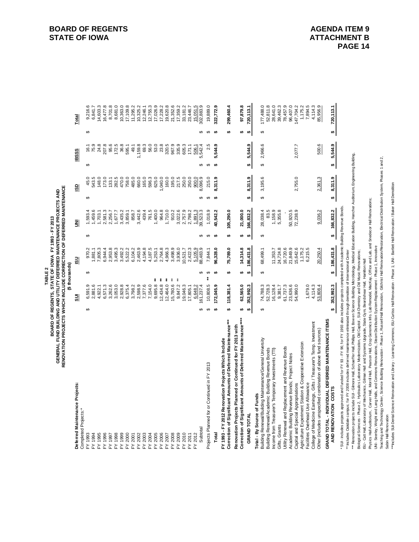| 195.0<br>217.5<br>45.0<br>543.5<br>148.0<br>173.0<br>282.5<br>470.0<br>758.0<br>485.0<br>660.0<br>165.0<br>596.3<br>625.0<br>1,040.0<br>160.0<br>250.0<br>250.0<br>900.0<br>8,096.9<br>133.1<br><b>GD</b><br>↮<br>↮<br>1,400.0<br>964.8<br>1,710.0<br>910.2<br>3,022.6<br>2,757.9<br>1,459.6<br>2,581.3<br>3,442.6<br>439.4<br>761.5<br>2,798.2<br>39,523.3<br>1,593.4<br>1,703.1<br>3,435.2<br>3,859.1<br>,891.3<br>2,256.7<br>1,677.7<br>858.7<br>$\overline{5}$<br>↔<br>↮<br>3,498.9<br>3,936.0<br>3,492.2<br>2,463.9<br>4,194.8<br>4,187.5<br>2,764.8<br>4,966.3<br>88,483.9<br>970.2<br>7,805.3<br>6,944.4<br>2,953.8<br>3,495.3<br>5,522.2<br>6,104.2<br>5,253.1<br>10,521.7<br>2,422.3<br>5,105.9<br>1,881.1<br>SU<br>↮<br>↔<br>$*$<br>$\stackrel{*}{*}$<br>$\stackrel{*}{*}$<br>$*$<br>12,464.0<br>15,780.6<br>9,695.8<br>12,434.8<br>7,377.6<br>7,154.0<br>9,847.2<br>2,598.9<br>6,591.9<br>6,571.3<br>3,262.6<br>3,053.0<br>2,928.8<br>6,375.4<br>3,798.2<br>19,046.3<br>61,237.4<br>2,881.6<br>6,648.2<br>4,922.1<br>17,805.1<br>SШ<br>↮<br>မာ<br>Deferred Maintenance Projects:<br>Completed Projects:*<br>Subtotal<br>2012<br>FY 1995<br>2005<br>2006<br>FY 2008<br>FY 2009<br>2010<br>FY 1994<br>FY 1996<br>FY 1998<br>FY 1999<br>FY 2000<br>2002<br>FY 2003<br>2004<br>2007<br>2011<br>FY 1993<br>FY 1997<br>2001<br><br>ሕ<br>≿<br>≿<br>≿<br>.<br>ک<br>≿<br>≿<br>≿<br>と | ↔<br>$\Theta$         | ↮<br>$\Theta$<br>$\Theta$<br>24.8<br>207.8<br>95.6<br>172.5<br>36.8<br>69.3<br>56.0<br>53.0<br>23.8<br>320.5<br>967.9<br>335.9<br>2.5<br>75.9<br>1,159.8<br>605.3<br>542.4<br>595.1<br>49.1<br>16.1<br>171.1<br>506.1<br><b>BSSS</b><br>ιó | 8,681.0<br>21,352.6<br>9,216.6<br>14,603.3<br>16,477.8<br>8,701.8<br>10,363.0<br>17,109.8<br>12,755.3<br>17,026.9<br>19,620.8<br>6,841.7<br>11,295.2<br>10,325.2<br>17,228.2<br>17,359.2<br>33,181.2<br>15,051.5<br>12,246.1<br>23,446.7<br>Total |
|----------------------------------------------------------------------------------------------------------------------------------------------------------------------------------------------------------------------------------------------------------------------------------------------------------------------------------------------------------------------------------------------------------------------------------------------------------------------------------------------------------------------------------------------------------------------------------------------------------------------------------------------------------------------------------------------------------------------------------------------------------------------------------------------------------------------------------------------------------------------------------------------------------------------------------------------------------------------------------------------------------------------------------------------------------------------------------------------------------------------------------------------------------------------------------------------------------------------------------------------------------------------------------------------------------------------------------------------------------------------------------------|-----------------------|--------------------------------------------------------------------------------------------------------------------------------------------------------------------------------------------------------------------------------------------|---------------------------------------------------------------------------------------------------------------------------------------------------------------------------------------------------------------------------------------------------|
|                                                                                                                                                                                                                                                                                                                                                                                                                                                                                                                                                                                                                                                                                                                                                                                                                                                                                                                                                                                                                                                                                                                                                                                                                                                                                                                                                                                        |                       |                                                                                                                                                                                                                                            |                                                                                                                                                                                                                                                   |
|                                                                                                                                                                                                                                                                                                                                                                                                                                                                                                                                                                                                                                                                                                                                                                                                                                                                                                                                                                                                                                                                                                                                                                                                                                                                                                                                                                                        |                       |                                                                                                                                                                                                                                            |                                                                                                                                                                                                                                                   |
|                                                                                                                                                                                                                                                                                                                                                                                                                                                                                                                                                                                                                                                                                                                                                                                                                                                                                                                                                                                                                                                                                                                                                                                                                                                                                                                                                                                        |                       |                                                                                                                                                                                                                                            |                                                                                                                                                                                                                                                   |
|                                                                                                                                                                                                                                                                                                                                                                                                                                                                                                                                                                                                                                                                                                                                                                                                                                                                                                                                                                                                                                                                                                                                                                                                                                                                                                                                                                                        |                       |                                                                                                                                                                                                                                            |                                                                                                                                                                                                                                                   |
|                                                                                                                                                                                                                                                                                                                                                                                                                                                                                                                                                                                                                                                                                                                                                                                                                                                                                                                                                                                                                                                                                                                                                                                                                                                                                                                                                                                        |                       |                                                                                                                                                                                                                                            |                                                                                                                                                                                                                                                   |
|                                                                                                                                                                                                                                                                                                                                                                                                                                                                                                                                                                                                                                                                                                                                                                                                                                                                                                                                                                                                                                                                                                                                                                                                                                                                                                                                                                                        |                       |                                                                                                                                                                                                                                            |                                                                                                                                                                                                                                                   |
|                                                                                                                                                                                                                                                                                                                                                                                                                                                                                                                                                                                                                                                                                                                                                                                                                                                                                                                                                                                                                                                                                                                                                                                                                                                                                                                                                                                        |                       |                                                                                                                                                                                                                                            |                                                                                                                                                                                                                                                   |
|                                                                                                                                                                                                                                                                                                                                                                                                                                                                                                                                                                                                                                                                                                                                                                                                                                                                                                                                                                                                                                                                                                                                                                                                                                                                                                                                                                                        |                       |                                                                                                                                                                                                                                            |                                                                                                                                                                                                                                                   |
|                                                                                                                                                                                                                                                                                                                                                                                                                                                                                                                                                                                                                                                                                                                                                                                                                                                                                                                                                                                                                                                                                                                                                                                                                                                                                                                                                                                        |                       |                                                                                                                                                                                                                                            |                                                                                                                                                                                                                                                   |
|                                                                                                                                                                                                                                                                                                                                                                                                                                                                                                                                                                                                                                                                                                                                                                                                                                                                                                                                                                                                                                                                                                                                                                                                                                                                                                                                                                                        |                       |                                                                                                                                                                                                                                            |                                                                                                                                                                                                                                                   |
|                                                                                                                                                                                                                                                                                                                                                                                                                                                                                                                                                                                                                                                                                                                                                                                                                                                                                                                                                                                                                                                                                                                                                                                                                                                                                                                                                                                        |                       |                                                                                                                                                                                                                                            |                                                                                                                                                                                                                                                   |
|                                                                                                                                                                                                                                                                                                                                                                                                                                                                                                                                                                                                                                                                                                                                                                                                                                                                                                                                                                                                                                                                                                                                                                                                                                                                                                                                                                                        |                       |                                                                                                                                                                                                                                            |                                                                                                                                                                                                                                                   |
|                                                                                                                                                                                                                                                                                                                                                                                                                                                                                                                                                                                                                                                                                                                                                                                                                                                                                                                                                                                                                                                                                                                                                                                                                                                                                                                                                                                        |                       |                                                                                                                                                                                                                                            |                                                                                                                                                                                                                                                   |
|                                                                                                                                                                                                                                                                                                                                                                                                                                                                                                                                                                                                                                                                                                                                                                                                                                                                                                                                                                                                                                                                                                                                                                                                                                                                                                                                                                                        |                       |                                                                                                                                                                                                                                            |                                                                                                                                                                                                                                                   |
|                                                                                                                                                                                                                                                                                                                                                                                                                                                                                                                                                                                                                                                                                                                                                                                                                                                                                                                                                                                                                                                                                                                                                                                                                                                                                                                                                                                        |                       |                                                                                                                                                                                                                                            |                                                                                                                                                                                                                                                   |
|                                                                                                                                                                                                                                                                                                                                                                                                                                                                                                                                                                                                                                                                                                                                                                                                                                                                                                                                                                                                                                                                                                                                                                                                                                                                                                                                                                                        |                       |                                                                                                                                                                                                                                            |                                                                                                                                                                                                                                                   |
|                                                                                                                                                                                                                                                                                                                                                                                                                                                                                                                                                                                                                                                                                                                                                                                                                                                                                                                                                                                                                                                                                                                                                                                                                                                                                                                                                                                        |                       |                                                                                                                                                                                                                                            |                                                                                                                                                                                                                                                   |
|                                                                                                                                                                                                                                                                                                                                                                                                                                                                                                                                                                                                                                                                                                                                                                                                                                                                                                                                                                                                                                                                                                                                                                                                                                                                                                                                                                                        |                       |                                                                                                                                                                                                                                            |                                                                                                                                                                                                                                                   |
|                                                                                                                                                                                                                                                                                                                                                                                                                                                                                                                                                                                                                                                                                                                                                                                                                                                                                                                                                                                                                                                                                                                                                                                                                                                                                                                                                                                        |                       |                                                                                                                                                                                                                                            |                                                                                                                                                                                                                                                   |
|                                                                                                                                                                                                                                                                                                                                                                                                                                                                                                                                                                                                                                                                                                                                                                                                                                                                                                                                                                                                                                                                                                                                                                                                                                                                                                                                                                                        |                       |                                                                                                                                                                                                                                            | 302, 883.9                                                                                                                                                                                                                                        |
| 215.0<br>↮<br>1,018.9<br>$\Theta$<br>7,844.1<br>$\Theta$<br>$\frac{*}{*}$<br>10,808.5<br>↔<br>Projects Planned for or Continued in FY 2013                                                                                                                                                                                                                                                                                                                                                                                                                                                                                                                                                                                                                                                                                                                                                                                                                                                                                                                                                                                                                                                                                                                                                                                                                                             | ↮                     |                                                                                                                                                                                                                                            | 19,889.0                                                                                                                                                                                                                                          |
| 8,311.9<br>$\theta$<br>10,542.2<br>$\theta$<br>96,328.0<br>49<br>172,045.9<br>$\bullet$<br>Total                                                                                                                                                                                                                                                                                                                                                                                                                                                                                                                                                                                                                                                                                                                                                                                                                                                                                                                                                                                                                                                                                                                                                                                                                                                                                       | $\boldsymbol{\theta}$ | $\theta$<br>5,544.9                                                                                                                                                                                                                        | 322,772.9                                                                                                                                                                                                                                         |
| 105,290.0<br>tĄ.<br>75,789.0<br>tĄ.<br>118,381.4<br>tĄ.<br>Correction of Significant Amounts of Deferred Maintenance***<br>FY 1993 - FY 2012 Renovation Projects Which Include                                                                                                                                                                                                                                                                                                                                                                                                                                                                                                                                                                                                                                                                                                                                                                                                                                                                                                                                                                                                                                                                                                                                                                                                         |                       | <b>SA</b>                                                                                                                                                                                                                                  | 299,460.4                                                                                                                                                                                                                                         |
| 21,000.0<br>₩<br>14,314.8<br>₩<br>62,565.0<br>₩<br>Correction of Significant Amounts of Deferred Maintenance****<br>Renovation Projects Planned or Continued for FY 2013 with                                                                                                                                                                                                                                                                                                                                                                                                                                                                                                                                                                                                                                                                                                                                                                                                                                                                                                                                                                                                                                                                                                                                                                                                          |                       | ↮                                                                                                                                                                                                                                          | 97,879.8                                                                                                                                                                                                                                          |
| 8,311.9<br>₩<br>166,832.2<br>$\bullet$<br>186,431.8<br>$\bullet$<br>352,992.3<br>tĄ.<br><b>GRAND TOTAL</b>                                                                                                                                                                                                                                                                                                                                                                                                                                                                                                                                                                                                                                                                                                                                                                                                                                                                                                                                                                                                                                                                                                                                                                                                                                                                             | <del>ی</del>          | ↮<br>5,544.9                                                                                                                                                                                                                               | 720, 113.1                                                                                                                                                                                                                                        |
| 3,195.6<br>↮<br>28,038.4<br>83.5<br>↔<br>68,499.1<br>မာ<br>74,788.3<br>52,728.3<br>↔<br>Building Renewal/Building Maintenance/General University<br>Building Renewal/Academic Building Revenue Bonds<br>Total - By Source of Funds                                                                                                                                                                                                                                                                                                                                                                                                                                                                                                                                                                                                                                                                                                                                                                                                                                                                                                                                                                                                                                                                                                                                                     | မာ                    | မာ<br>2,966.6                                                                                                                                                                                                                              | 177,488.0<br>52,811.8                                                                                                                                                                                                                             |
| 1,158.9<br>11,353.7<br>16,128.4<br>Income from Treasurer's Temporary Investments (TTI)                                                                                                                                                                                                                                                                                                                                                                                                                                                                                                                                                                                                                                                                                                                                                                                                                                                                                                                                                                                                                                                                                                                                                                                                                                                                                                 |                       |                                                                                                                                                                                                                                            | 28,641.0                                                                                                                                                                                                                                          |
| 5,355.8<br>24,724.8<br>9,381.7<br>Gifts, Grants                                                                                                                                                                                                                                                                                                                                                                                                                                                                                                                                                                                                                                                                                                                                                                                                                                                                                                                                                                                                                                                                                                                                                                                                                                                                                                                                        |                       |                                                                                                                                                                                                                                            | 39,462.3                                                                                                                                                                                                                                          |
| 16,720.6<br>61,737.3<br>Utility Renewal and Replacement and Revenue Bonds                                                                                                                                                                                                                                                                                                                                                                                                                                                                                                                                                                                                                                                                                                                                                                                                                                                                                                                                                                                                                                                                                                                                                                                                                                                                                                              |                       |                                                                                                                                                                                                                                            | 78,457.9                                                                                                                                                                                                                                          |
| 50,920.5<br>21,849.9<br>23,636.6<br>Academic Building Revenue Bonds; Project Notes                                                                                                                                                                                                                                                                                                                                                                                                                                                                                                                                                                                                                                                                                                                                                                                                                                                                                                                                                                                                                                                                                                                                                                                                                                                                                                     |                       |                                                                                                                                                                                                                                            | 96,407.0                                                                                                                                                                                                                                          |
| 2,755.0<br>72,238.9<br>15,642.6<br>54,990.0<br>Capital and Special Appropriations                                                                                                                                                                                                                                                                                                                                                                                                                                                                                                                                                                                                                                                                                                                                                                                                                                                                                                                                                                                                                                                                                                                                                                                                                                                                                                      |                       | 2,077.7                                                                                                                                                                                                                                    | 147,704.2                                                                                                                                                                                                                                         |
| 1,175.2<br>Agriculture Experiment Station & Cooperative Extension                                                                                                                                                                                                                                                                                                                                                                                                                                                                                                                                                                                                                                                                                                                                                                                                                                                                                                                                                                                                                                                                                                                                                                                                                                                                                                                      |                       |                                                                                                                                                                                                                                            | 1,175.2                                                                                                                                                                                                                                           |
| 6,215.5<br>1,679.0<br>4,114.3<br>College of Medicine Earnings, Gifts / Treasurer's Temp. Investment<br>Facilities Overhead Use Allowance                                                                                                                                                                                                                                                                                                                                                                                                                                                                                                                                                                                                                                                                                                                                                                                                                                                                                                                                                                                                                                                                                                                                                                                                                                               |                       |                                                                                                                                                                                                                                            | 4,114.3<br>7,894.5                                                                                                                                                                                                                                |
| 2,361.3<br>9,036.2<br>20,250.4<br>53,808.4<br>Other (includes unspecified combination of above fund sources)                                                                                                                                                                                                                                                                                                                                                                                                                                                                                                                                                                                                                                                                                                                                                                                                                                                                                                                                                                                                                                                                                                                                                                                                                                                                           |                       | 500.6                                                                                                                                                                                                                                      | 85,956.9                                                                                                                                                                                                                                          |
| 8,311.9<br>₩<br>166,832.2<br>₩<br>186,431.8<br>₩<br>352,992.3<br>tą<br>GRAND TOTAL - INDIVIDUAL DEFERRED MAINTENANCE ITEMS<br>AND RENOVATION COSTS                                                                                                                                                                                                                                                                                                                                                                                                                                                                                                                                                                                                                                                                                                                                                                                                                                                                                                                                                                                                                                                                                                                                                                                                                                     | ₩                     | 5,544.9                                                                                                                                                                                                                                    | 720, 113.1                                                                                                                                                                                                                                        |
|                                                                                                                                                                                                                                                                                                                                                                                                                                                                                                                                                                                                                                                                                                                                                                                                                                                                                                                                                                                                                                                                                                                                                                                                                                                                                                                                                                                        |                       | ⇔∥                                                                                                                                                                                                                                         |                                                                                                                                                                                                                                                   |

\*\* Includes Oakdale campus; for FY 2008 includes deferred maintenance eliminated through demolition of International Center

\*\*\* Renovation projects include SUI - Gilmore Hall, Schaeffer Hall, Phillips Hall, Bow en Science Building Microbiology, Medical Education Building, Hancher Auditorium, Engineering Building, \*\*\* Renovation projects include SUI - Glimore Hall, Schaeffer Hall, Fhilips Hall Bow en Science Building Morobiology, Medical Education Building, Hancher Auditorium, Engineering Building,

Biological Sciences - Prase 2, Hydraulics Laboratory Modernization, Old Capitol, SUI-Chemistry and Old Music Renovations; Biological Sciences - Phase 2, Hydraulics Laboratory Modernization, Old Capitol , SUI-Chemistry and Old Music Renovations;

ISU - Catt Hall, Laboratory of Mechanics, Gilman Hall and Systems Upgrade, State Gym, Beardshear Hall, Hamilton Hall

Physics Hall Auditorium , Carver Hall, Morrill Hall, Pearson Hall, Crop Genomics Info. Lab Remodel, MacKay, Office and Lab, and Snedecor Hall Renovations;

UNI - Seerley, Wright and Lang Halls, and Commons Renovations, Steam Distribution System Replacement - Phase 1, Innovative

ISU - Catt Hall, Laboratory of Mechanics, Gliman Hall and Systems Upgrade, State Gym, Beardshear Hall, Hamilton Hall<br>Physics Hall Auditorium, Carver Hall, Morifi Hall, Passon Hall, Crop Genomics Info. Lab Remodel, MarkSay, Teaching and Technology Center, Science Building Renovation - Phase 1, Russell Hall Renovation, Gilchrist Hall Renovation/Restoration, Electrical Distribution System, Phases 1 and 2, Sabin Hall Renovation

\*\*\*hcludes SUI-Dental Science Renovation and Library - Learning Commons; ISU-Curtiss Hall Renovation - Phase 1; UNI - Bartiett Hall Renovation / Baker Hall Demotiion \*\*\*Includes SUI-Dental Science Renovation and Library - Learning Commons; ISU-Curtiss Hall Renovation - Phase 1; UNI - Bartlett Hall Renovation / Baker Hall Demolition